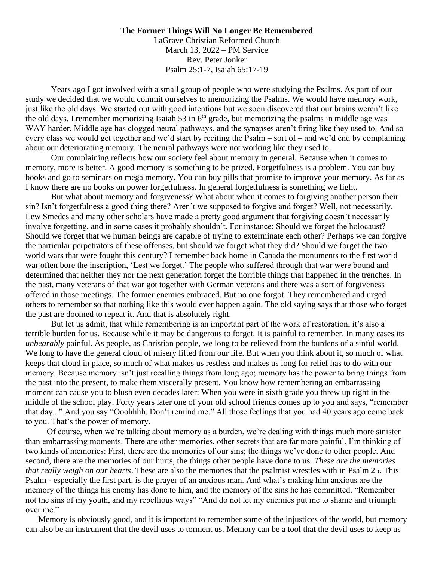## **The Former Things Will No Longer Be Remembered**

LaGrave Christian Reformed Church March 13, 2022 – PM Service Rev. Peter Jonker Psalm 25:1-7, Isaiah 65:17-19

Years ago I got involved with a small group of people who were studying the Psalms. As part of our study we decided that we would commit ourselves to memorizing the Psalms. We would have memory work, just like the old days. We started out with good intentions but we soon discovered that our brains weren't like the old days. I remember memorizing Isaiah 53 in  $6<sup>th</sup>$  grade, but memorizing the psalms in middle age was WAY harder. Middle age has clogged neural pathways, and the synapses aren't firing like they used to. And so every class we would get together and we'd start by reciting the Psalm – sort of – and we'd end by complaining about our deteriorating memory. The neural pathways were not working like they used to.

Our complaining reflects how our society feel about memory in general. Because when it comes to memory, more is better. A good memory is something to be prized. Forgetfulness is a problem. You can buy books and go to seminars on mega memory. You can buy pills that promise to improve your memory. As far as I know there are no books on power forgetfulness. In general forgetfulness is something we fight.

But what about memory and forgiveness? What about when it comes to forgiving another person their sin? Isn't forgetfulness a good thing there? Aren't we supposed to forgive and forget? Well, not necessarily. Lew Smedes and many other scholars have made a pretty good argument that forgiving doesn't necessarily involve forgetting, and in some cases it probably shouldn't. For instance: Should we forget the holocaust? Should we forget that we human beings are capable of trying to exterminate each other? Perhaps we can forgive the particular perpetrators of these offenses, but should we forget what they did? Should we forget the two world wars that were fought this century? I remember back home in Canada the monuments to the first world war often bore the inscription, 'Lest we forget.' The people who suffered through that war were bound and determined that neither they nor the next generation forget the horrible things that happened in the trenches. In the past, many veterans of that war got together with German veterans and there was a sort of forgiveness offered in those meetings. The former enemies embraced. But no one forgot. They remembered and urged others to remember so that nothing like this would ever happen again. The old saying says that those who forget the past are doomed to repeat it. And that is absolutely right.

But let us admit, that while remembering is an important part of the work of restoration, it's also a terrible burden for us. Because while it may be dangerous to forget. It is painful to remember. In many cases its *unbearably* painful. As people, as Christian people, we long to be relieved from the burdens of a sinful world. We long to have the general cloud of misery lifted from our life. But when you think about it, so much of what keeps that cloud in place, so much of what makes us restless and makes us long for relief has to do with our memory. Because memory isn't just recalling things from long ago; memory has the power to bring things from the past into the present, to make them viscerally present. You know how remembering an embarrassing moment can cause you to blush even decades later: When you were in sixth grade you threw up right in the middle of the school play. Forty years later one of your old school friends comes up to you and says, "remember that day..." And you say "Ooohhhh. Don't remind me." All those feelings that you had 40 years ago come back to you. That's the power of memory.

 Of course, when we're talking about memory as a burden, we're dealing with things much more sinister than embarrassing moments. There are other memories, other secrets that are far more painful. I'm thinking of two kinds of memories: First, there are the memories of our sins; the things we've done to other people. And second, there are the memories of our hurts, the things other people have done to us. *These are the memories that really weigh on our hearts*. These are also the memories that the psalmist wrestles with in Psalm 25. This Psalm - especially the first part, is the prayer of an anxious man. And what's making him anxious are the memory of the things his enemy has done to him, and the memory of the sins he has committed. "Remember not the sins of my youth, and my rebellious ways" "And do not let my enemies put me to shame and triumph over me."

Memory is obviously good, and it is important to remember some of the injustices of the world, but memory can also be an instrument that the devil uses to torment us. Memory can be a tool that the devil uses to keep us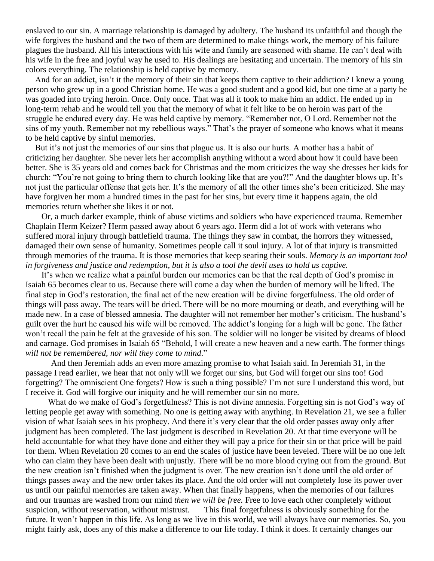enslaved to our sin. A marriage relationship is damaged by adultery. The husband its unfaithful and though the wife forgives the husband and the two of them are determined to make things work, the memory of his failure plagues the husband. All his interactions with his wife and family are seasoned with shame. He can't deal with his wife in the free and joyful way he used to. His dealings are hesitating and uncertain. The memory of his sin colors everything. The relationship is held captive by memory.

And for an addict, isn't it the memory of their sin that keeps them captive to their addiction? I knew a young person who grew up in a good Christian home. He was a good student and a good kid, but one time at a party he was goaded into trying heroin. Once. Only once. That was all it took to make him an addict. He ended up in long-term rehab and he would tell you that the memory of what it felt like to be on heroin was part of the struggle he endured every day. He was held captive by memory. "Remember not, O Lord. Remember not the sins of my youth. Remember not my rebellious ways." That's the prayer of someone who knows what it means to be held captive by sinful memories.

But it's not just the memories of our sins that plague us. It is also our hurts. A mother has a habit of criticizing her daughter. She never lets her accomplish anything without a word about how it could have been better. She is 35 years old and comes back for Christmas and the mom criticizes the way she dresses her kids for church: "You're not going to bring them to church looking like that are you?!" And the daughter blows up. It's not just the particular offense that gets her. It's the memory of all the other times she's been criticized. She may have forgiven her mom a hundred times in the past for her sins, but every time it happens again, the old memories return whether she likes it or not.

 Or, a much darker example, think of abuse victims and soldiers who have experienced trauma. Remember Chaplain Herm Keizer? Herm passed away about 6 years ago. Herm did a lot of work with veterans who suffered moral injury through battlefield trauma. The things they saw in combat, the horrors they witnessed, damaged their own sense of humanity. Sometimes people call it soul injury. A lot of that injury is transmitted through memories of the trauma. It is those memories that keep searing their souls. *Memory is an important tool in forgiveness and justice and redemption, but it is also a tool the devil uses to hold us captive.* 

 It's when we realize what a painful burden our memories can be that the real depth of God's promise in Isaiah 65 becomes clear to us. Because there will come a day when the burden of memory will be lifted. The final step in God's restoration, the final act of the new creation will be divine forgetfulness. The old order of things will pass away. The tears will be dried. There will be no more mourning or death, and everything will be made new. In a case of blessed amnesia. The daughter will not remember her mother's criticism. The husband's guilt over the hurt he caused his wife will be removed. The addict's longing for a high will be gone. The father won't recall the pain he felt at the graveside of his son. The soldier will no longer be visited by dreams of blood and carnage. God promises in Isaiah 65 "Behold, I will create a new heaven and a new earth. The former things *will not be remembered*, *nor will they come to mind*."

And then Jeremiah adds an even more amazing promise to what Isaiah said. In Jeremiah 31, in the passage I read earlier, we hear that not only will we forget our sins, but God will forget our sins too! God forgetting? The omniscient One forgets? How is such a thing possible? I'm not sure I understand this word, but I receive it. God will forgive our iniquity and he will remember our sin no more.

What do we make of God's forgetfulness? This is not divine amnesia. Forgetting sin is not God's way of letting people get away with something. No one is getting away with anything. In Revelation 21, we see a fuller vision of what Isaiah sees in his prophecy. And there it's very clear that the old order passes away only after judgment has been completed. The last judgment is described in Revelation 20. At that time everyone will be held accountable for what they have done and either they will pay a price for their sin or that price will be paid for them. When Revelation 20 comes to an end the scales of justice have been leveled. There will be no one left who can claim they have been dealt with unjustly. There will be no more blood crying out from the ground. But the new creation isn't finished when the judgment is over. The new creation isn't done until the old order of things passes away and the new order takes its place. And the old order will not completely lose its power over us until our painful memories are taken away. When that finally happens, when the memories of our failures and our traumas are washed from our mind *then we will be free.* Free to love each other completely without suspicion, without reservation, without mistrust. This final forgetfulness is obviously something for the future. It won't happen in this life. As long as we live in this world, we will always have our memories. So, you might fairly ask, does any of this make a difference to our life today. I think it does. It certainly changes our